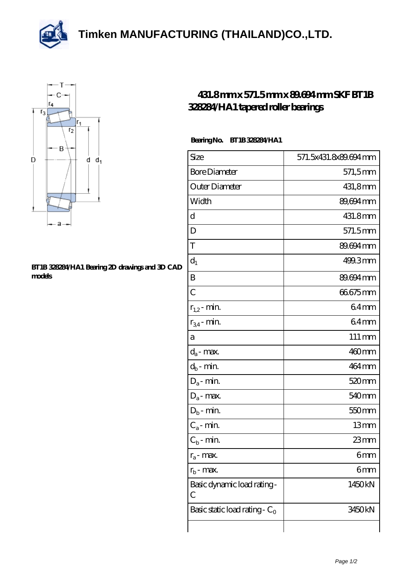**[Timken MANUFACTURING \(THAILAND\)CO.,LTD.](https://m.thereclaimer.net)**





## **[BT1B 328284/HA1 Bearing 2D drawings and 3D CAD](https://m.thereclaimer.net/pic-65136282.html) [models](https://m.thereclaimer.net/pic-65136282.html)**

## **[431.8 mm x 571.5 mm x 89.694 mm SKF BT1B](https://m.thereclaimer.net/skf-bt1b-328284-ha1-bearing/) [328284/HA1 tapered roller bearings](https://m.thereclaimer.net/skf-bt1b-328284-ha1-bearing/)**

## **Bearing No. BT1B 328284/HA1**

| Size                                         | 571.5x431.8x89.694mm |
|----------------------------------------------|----------------------|
| <b>Bore Diameter</b>                         | 571,5mm              |
| Outer Diameter                               | 431,8mm              |
| Width                                        | 89,694 mm            |
| d                                            | 431.8mm              |
| D                                            | 571.5mm              |
| T                                            | 89.694 mm            |
| $d_1$                                        | 499.3mm              |
| B                                            | 89.694mm             |
| $\overline{C}$                               | 66675mm              |
| $r_{1,2}$ - min.                             | 64 <sub>mm</sub>     |
| $r_{34}$ - min.                              | 64 <sub>mm</sub>     |
| a                                            | $111 \,\mathrm{mm}$  |
| $d_a$ - max.                                 | 460mm                |
| $d_b$ - min.                                 | 464 mm               |
| $D_a$ - min.                                 | 520 <sub>mm</sub>    |
| $\rm D_a\mbox{-}$ max.                       | 540 <sub>mm</sub>    |
| $D_b$ - min.                                 | 550 <sub>mm</sub>    |
| $C_a$ - min.                                 | 13mm                 |
| $C_{b}$ - min.                               | $23 \text{mm}$       |
| $r_a$ - max.                                 | 6mm                  |
| $r_{b}$ - max.                               | 6mm                  |
| Basic dynamic load rating-<br>$\overline{C}$ | 1450kN               |
| Basic static load rating - $C_0$             | 3450kN               |
|                                              |                      |